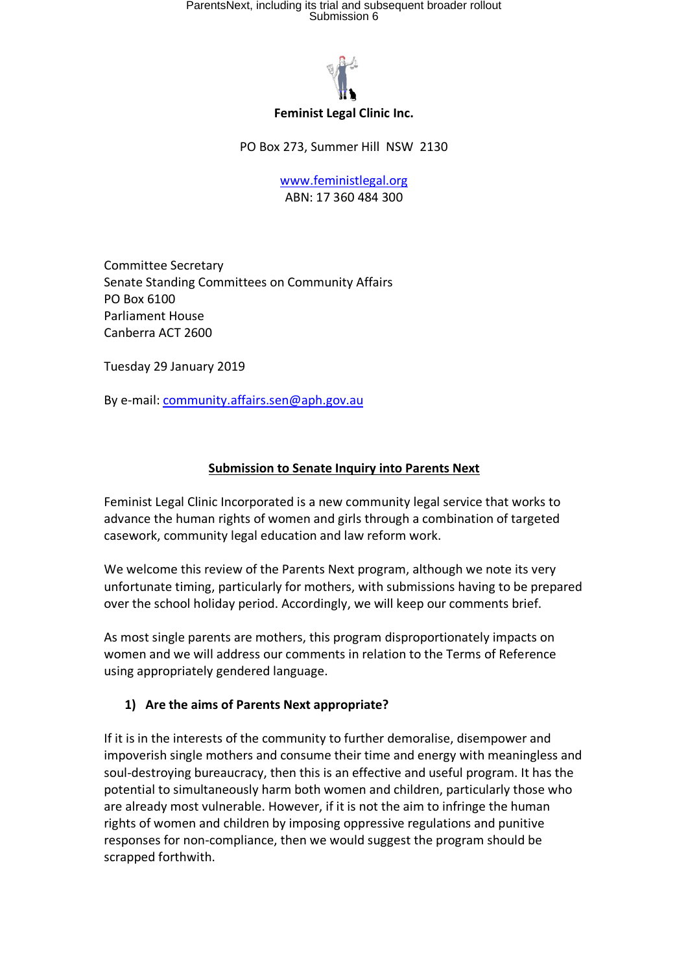# ParentsNext, including its trial and subsequent broader rollout<br>Submission 6



#### **Feminist Legal Clinic Inc.**

PO Box 273, Summer Hill NSW 2130

www.feministlegal.org ABN: 17 360 484 300

Committee Secretary Senate Standing Committees on Community Affairs PO Box 6100 Parliament House Canberra ACT 2600

Tuesday 29 January 2019

By e-mail: community.affairs.sen@aph.gov.au

### **Submission to Senate Inquiry into Parents Next**

Feminist Legal Clinic Incorporated is a new community legal service that works to advance the human rights of women and girls through a combination of targeted casework, community legal education and law reform work.

We welcome this review of the Parents Next program, although we note its very unfortunate timing, particularly for mothers, with submissions having to be prepared over the school holiday period. Accordingly, we will keep our comments brief.

As most single parents are mothers, this program disproportionately impacts on women and we will address our comments in relation to the Terms of Reference using appropriately gendered language.

### **1) Are the aims of Parents Next appropriate?**

If it is in the interests of the community to further demoralise, disempower and impoverish single mothers and consume their time and energy with meaningless and soul-destroying bureaucracy, then this is an effective and useful program. It has the potential to simultaneously harm both women and children, particularly those who are already most vulnerable. However, if it is not the aim to infringe the human rights of women and children by imposing oppressive regulations and punitive responses for non-compliance, then we would suggest the program should be scrapped forthwith.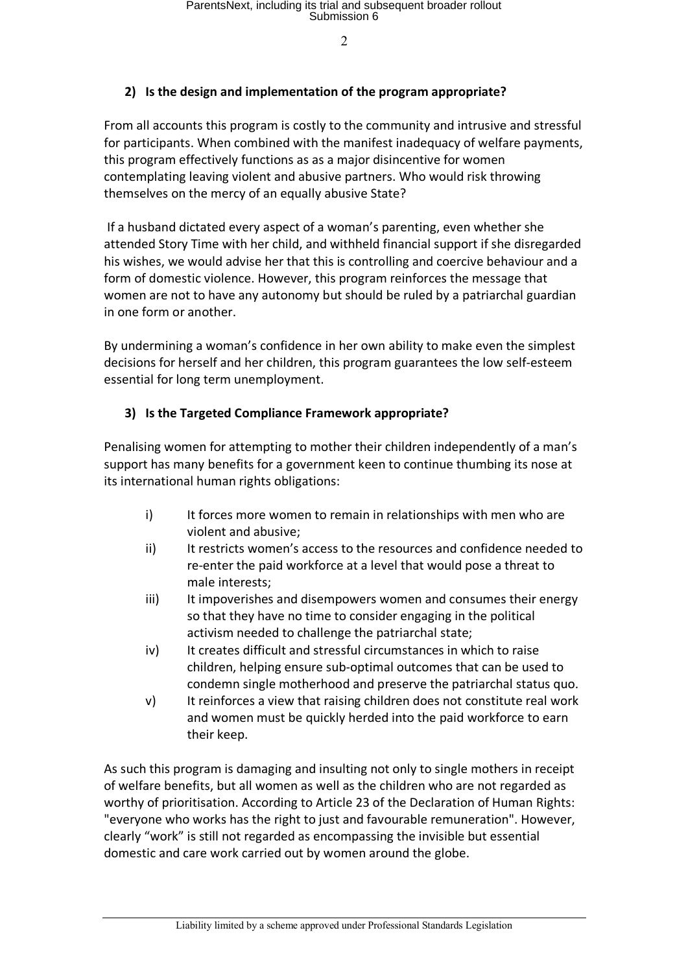$\mathcal{L}$ 

### **2) Is the design and implementation of the program appropriate?**

From all accounts this program is costly to the community and intrusive and stressful for participants. When combined with the manifest inadequacy of welfare payments, this program effectively functions as as a major disincentive for women contemplating leaving violent and abusive partners. Who would risk throwing themselves on the mercy of an equally abusive State?

If a husband dictated every aspect of a woman's parenting, even whether she attended Story Time with her child, and withheld financial support if she disregarded his wishes, we would advise her that this is controlling and coercive behaviour and a form of domestic violence. However, this program reinforces the message that women are not to have any autonomy but should be ruled by a patriarchal guardian in one form or another.

By undermining a woman's confidence in her own ability to make even the simplest decisions for herself and her children, this program guarantees the low self-esteem essential for long term unemployment.

### **3) Is the Targeted Compliance Framework appropriate?**

Penalising women for attempting to mother their children independently of a man's support has many benefits for a government keen to continue thumbing its nose at its international human rights obligations:

- i) It forces more women to remain in relationships with men who are violent and abusive;
- ii) It restricts women's access to the resources and confidence needed to re-enter the paid workforce at a level that would pose a threat to male interests;
- iii) It impoverishes and disempowers women and consumes their energy so that they have no time to consider engaging in the political activism needed to challenge the patriarchal state;
- iv) It creates difficult and stressful circumstances in which to raise children, helping ensure sub-optimal outcomes that can be used to condemn single motherhood and preserve the patriarchal status quo.
- v) It reinforces a view that raising children does not constitute real work and women must be quickly herded into the paid workforce to earn their keep.

As such this program is damaging and insulting not only to single mothers in receipt of welfare benefits, but all women as well as the children who are not regarded as worthy of prioritisation. According to Article 23 of the Declaration of Human Rights: "everyone who works has the right to just and favourable remuneration". However, clearly "work" is still not regarded as encompassing the invisible but essential domestic and care work carried out by women around the globe.